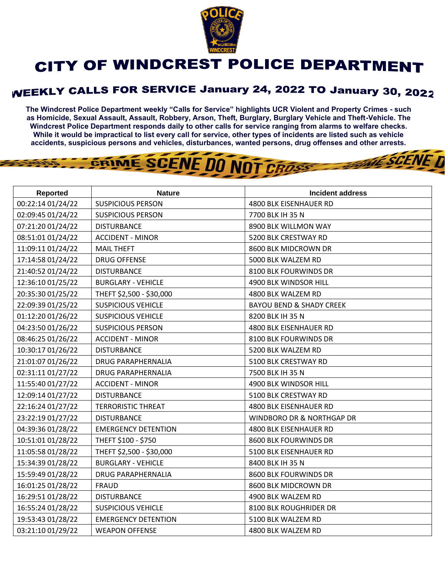

## **CITY OF WINDCREST POLICE DEPARTMENT**

## **WEEKLY CALLS FOR SERVICE January 24, 2022 TO January 30, 2022**

**The Windcrest Police Department weekly "Calls for Service" highlights UCR Violent and Property Crimes - such as Homicide, Sexual Assault, Assault, Robbery, Arson, Theft, Burglary, Burglary Vehicle and Theft-Vehicle. The Windcrest Police Department responds daily to other calls for service ranging from alarms to welfare checks. While it would be impractical to list every call for service, other types of incidents are listed such as vehicle accidents, suspicious persons and vehicles, disturbances, wanted persons, drug offenses and other arrests.** 

**THE SCENE TI** 

## GRIME SCENE DO NOT CROSS

| <b>Reported</b>   | <b>Nature</b>              | <b>Incident address</b>             |
|-------------------|----------------------------|-------------------------------------|
| 00:22:14 01/24/22 | <b>SUSPICIOUS PERSON</b>   | 4800 BLK EISENHAUER RD              |
| 02:09:45 01/24/22 | <b>SUSPICIOUS PERSON</b>   | 7700 BLK IH 35 N                    |
| 07:21:20 01/24/22 | <b>DISTURBANCE</b>         | 8900 BLK WILLMON WAY                |
| 08:51:01 01/24/22 | <b>ACCIDENT - MINOR</b>    | 5200 BLK CRESTWAY RD                |
| 11:09:11 01/24/22 | <b>MAIL THEFT</b>          | 8600 BLK MIDCROWN DR                |
| 17:14:58 01/24/22 | <b>DRUG OFFENSE</b>        | 5000 BLK WALZEM RD                  |
| 21:40:52 01/24/22 | <b>DISTURBANCE</b>         | 8100 BLK FOURWINDS DR               |
| 12:36:10 01/25/22 | <b>BURGLARY - VEHICLE</b>  | 4900 BLK WINDSOR HILL               |
| 20:35:30 01/25/22 | THEFT \$2,500 - \$30,000   | 4800 BLK WALZEM RD                  |
| 22:09:39 01/25/22 | <b>SUSPICIOUS VEHICLE</b>  | <b>BAYOU BEND &amp; SHADY CREEK</b> |
| 01:12:20 01/26/22 | <b>SUSPICIOUS VEHICLE</b>  | 8200 BLK IH 35 N                    |
| 04:23:50 01/26/22 | <b>SUSPICIOUS PERSON</b>   | 4800 BLK EISENHAUER RD              |
| 08:46:25 01/26/22 | <b>ACCIDENT - MINOR</b>    | 8100 BLK FOURWINDS DR               |
| 10:30:17 01/26/22 | <b>DISTURBANCE</b>         | 5200 BLK WALZEM RD                  |
| 21:01:07 01/26/22 | <b>DRUG PARAPHERNALIA</b>  | 5100 BLK CRESTWAY RD                |
| 02:31:11 01/27/22 | <b>DRUG PARAPHERNALIA</b>  | 7500 BLK IH 35 N                    |
| 11:55:40 01/27/22 | <b>ACCIDENT - MINOR</b>    | 4900 BLK WINDSOR HILL               |
| 12:09:14 01/27/22 | <b>DISTURBANCE</b>         | 5100 BLK CRESTWAY RD                |
| 22:16:24 01/27/22 | <b>TERRORISTIC THREAT</b>  | 4800 BLK EISENHAUER RD              |
| 23:22:19 01/27/22 | <b>DISTURBANCE</b>         | WINDBORO DR & NORTHGAP DR           |
| 04:39:36 01/28/22 | <b>EMERGENCY DETENTION</b> | 4800 BLK EISENHAUER RD              |
| 10:51:01 01/28/22 | THEFT \$100 - \$750        | 8600 BLK FOURWINDS DR               |
| 11:05:58 01/28/22 | THEFT \$2,500 - \$30,000   | 5100 BLK EISENHAUER RD              |
| 15:34:39 01/28/22 | <b>BURGLARY - VEHICLE</b>  | 8400 BLK IH 35 N                    |
| 15:59:49 01/28/22 | <b>DRUG PARAPHERNALIA</b>  | 8600 BLK FOURWINDS DR               |
| 16:01:25 01/28/22 | <b>FRAUD</b>               | 8600 BLK MIDCROWN DR                |
| 16:29:51 01/28/22 | <b>DISTURBANCE</b>         | 4900 BLK WALZEM RD                  |
| 16:55:24 01/28/22 | <b>SUSPICIOUS VEHICLE</b>  | 8100 BLK ROUGHRIDER DR              |
| 19:53:43 01/28/22 | <b>EMERGENCY DETENTION</b> | 5100 BLK WALZEM RD                  |
| 03:21:10 01/29/22 | <b>WEAPON OFFENSE</b>      | 4800 BLK WALZEM RD                  |